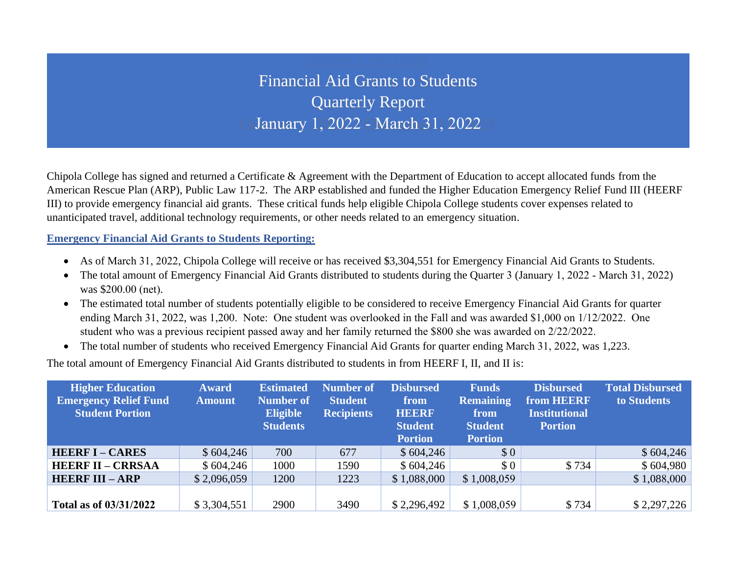## Financial Aid Grants to Students Quarterly Report January 1, 2022 - March 31, 2022

Chipola College has signed and returned a Certificate & Agreement with the Department of Education to accept allocated funds from the American Rescue Plan (ARP), Public Law 117-2. The ARP established and funded the Higher Education Emergency Relief Fund III (HEERF III) to provide emergency financial aid grants. These critical funds help eligible Chipola College students cover expenses related to unanticipated travel, additional technology requirements, or other needs related to an emergency situation.

**Emergency Financial Aid Grants to Students Reporting:**

- As of March 31, 2022, Chipola College will receive or has received \$3,304,551 for Emergency Financial Aid Grants to Students.
- The total amount of Emergency Financial Aid Grants distributed to students during the Quarter 3 (January 1, 2022 March 31, 2022) was \$200.00 (net).
- The estimated total number of students potentially eligible to be considered to receive Emergency Financial Aid Grants for quarter ending March 31, 2022, was 1,200. Note: One student was overlooked in the Fall and was awarded \$1,000 on 1/12/2022. One student who was a previous recipient passed away and her family returned the \$800 she was awarded on 2/22/2022.
- The total number of students who received Emergency Financial Aid Grants for quarter ending March 31, 2022, was 1,223.

The total amount of Emergency Financial Aid Grants distributed to students in from HEERF I, II, and II is:

| <b>Higher Education</b><br><b>Emergency Relief Fund</b><br><b>Student Portion</b> | <b>Award</b><br><b>Amount</b> | <b>Estimated</b><br><b>Number of</b><br><b>Eligible</b><br><b>Students</b> | <b>Number of</b><br><b>Student</b><br><b>Recipients</b> | <b>Disbursed</b><br>from<br><b>HEERF</b><br><b>Student</b><br><b>Portion</b> | <b>Funds</b><br><b>Remaining</b><br>from<br><b>Student</b><br><b>Portion</b> | <b>Disbursed</b><br>from HEERF<br><b>Institutional</b><br><b>Portion</b> | <b>Total Disbursed</b><br>to Students |
|-----------------------------------------------------------------------------------|-------------------------------|----------------------------------------------------------------------------|---------------------------------------------------------|------------------------------------------------------------------------------|------------------------------------------------------------------------------|--------------------------------------------------------------------------|---------------------------------------|
| <b>HEERF I - CARES</b>                                                            | \$604,246                     | 700                                                                        | 677                                                     | \$604,246                                                                    | \$0                                                                          |                                                                          | \$604,246                             |
| <b>HEERF II - CRRSAA</b>                                                          | \$604,246                     | 1000                                                                       | 1590                                                    | \$604,246                                                                    | \$0                                                                          | \$734                                                                    | \$604,980                             |
| <b>HEERF III - ARP</b>                                                            | \$2,096,059                   | 1200                                                                       | 1223                                                    | \$1,088,000                                                                  | \$1,008,059                                                                  |                                                                          | \$1,088,000                           |
| Total as of 03/31/2022                                                            | \$3,304,551                   | 2900                                                                       | 3490                                                    | \$2,296,492                                                                  | \$1,008,059                                                                  | \$734                                                                    | \$2,297,226                           |